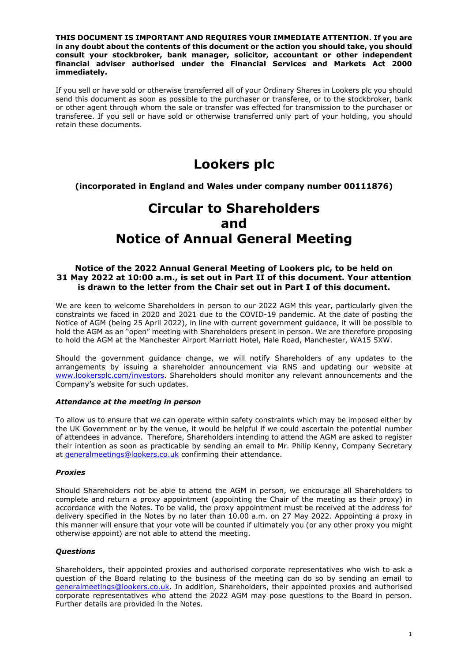**THIS DOCUMENT IS IMPORTANT AND REQUIRES YOUR IMMEDIATE ATTENTION. If you are in any doubt about the contents of this document or the action you should take, you should consult your stockbroker, bank manager, solicitor, accountant or other independent financial adviser authorised under the Financial Services and Markets Act 2000 immediately.**

If you sell or have sold or otherwise transferred all of your Ordinary Shares in Lookers plc you should send this document as soon as possible to the purchaser or transferee, or to the stockbroker, bank or other agent through whom the sale or transfer was effected for transmission to the purchaser or transferee. If you sell or have sold or otherwise transferred only part of your holding, you should retain these documents.

# **Lookers plc**

**(incorporated in England and Wales under company number 00111876)**

# **Circular to Shareholders and Notice of Annual General Meeting**

# **Notice of the 2022 Annual General Meeting of Lookers plc, to be held on 31 May 2022 at 10:00 a.m., is set out in Part II of this document. Your attention is drawn to the letter from the Chair set out in Part I of this document.**

We are keen to welcome Shareholders in person to our 2022 AGM this year, particularly given the constraints we faced in 2020 and 2021 due to the COVID-19 pandemic. At the date of posting the Notice of AGM (being 25 April 2022), in line with current government guidance, it will be possible to hold the AGM as an "open" meeting with Shareholders present in person. We are therefore proposing to hold the AGM at the Manchester Airport Marriott Hotel, Hale Road, Manchester, WA15 5XW.

Should the government guidance change, we will notify Shareholders of any updates to the arrangements by issuing a shareholder announcement via RNS and updating our website at [www.lookersplc.com/investors.](http://www.lookersplc.com/investors) Shareholders should monitor any relevant announcements and the Company's website for such updates.

# *Attendance at the meeting in person*

To allow us to ensure that we can operate within safety constraints which may be imposed either by the UK Government or by the venue, it would be helpful if we could ascertain the potential number of attendees in advance. Therefore, Shareholders intending to attend the AGM are asked to register their intention as soon as practicable by sending an email to Mr. Philip Kenny, Company Secretary at [generalmeetings@lookers.co.uk](mailto:generalmeetings@lookers.co.uk) confirming their attendance.

# *Proxies*

Should Shareholders not be able to attend the AGM in person, we encourage all Shareholders to complete and return a proxy appointment (appointing the Chair of the meeting as their proxy) in accordance with the Notes. To be valid, the proxy appointment must be received at the address for delivery specified in the Notes by no later than 10.00 a.m. on 27 May 2022. Appointing a proxy in this manner will ensure that your vote will be counted if ultimately you (or any other proxy you might otherwise appoint) are not able to attend the meeting.

# *Questions*

Shareholders, their appointed proxies and authorised corporate representatives who wish to ask a question of the Board relating to the business of the meeting can do so by sending an email to [generalmeetings@lookers.co.uk.](mailto:generalmeetings@lookers.co.uk) In addition, Shareholders, their appointed proxies and authorised corporate representatives who attend the 2022 AGM may pose questions to the Board in person. Further details are provided in the Notes.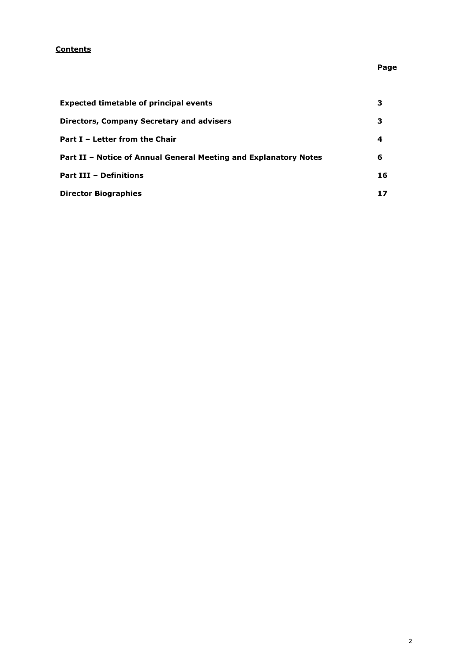# **Contents**

# **Page**

| <b>Expected timetable of principal events</b>                    |    |
|------------------------------------------------------------------|----|
| Directors, Company Secretary and advisers                        | 3  |
| Part I – Letter from the Chair                                   | 4  |
| Part II – Notice of Annual General Meeting and Explanatory Notes | 6  |
| <b>Part III - Definitions</b>                                    | 16 |
| <b>Director Biographies</b>                                      |    |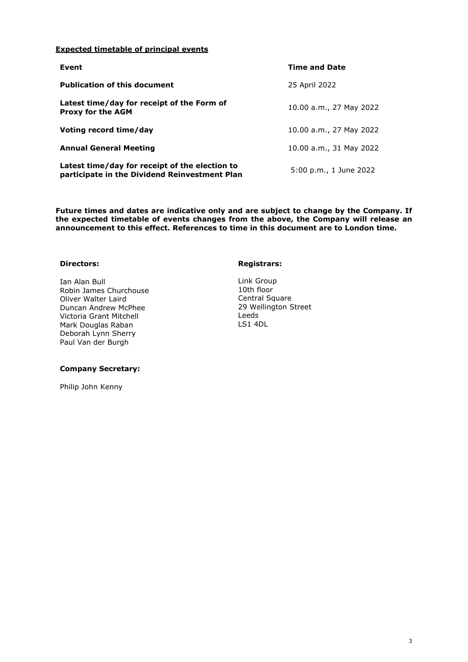# **Expected timetable of principal events**

| Event                                                                                           | <b>Time and Date</b>    |
|-------------------------------------------------------------------------------------------------|-------------------------|
| <b>Publication of this document</b>                                                             | 25 April 2022           |
| Latest time/day for receipt of the Form of<br><b>Proxy for the AGM</b>                          | 10.00 a.m., 27 May 2022 |
| Voting record time/day                                                                          | 10.00 a.m., 27 May 2022 |
| <b>Annual General Meeting</b>                                                                   | 10.00 a.m., 31 May 2022 |
| Latest time/day for receipt of the election to<br>participate in the Dividend Reinvestment Plan | 5:00 p.m., 1 June 2022  |

**Future times and dates are indicative only and are subject to change by the Company. If the expected timetable of events changes from the above, the Company will release an announcement to this effect. References to time in this document are to London time.**

# **Directors:**

Ian Alan Bull Robin James Churchouse Oliver Walter Laird Duncan Andrew McPhee Victoria Grant Mitchell Mark Douglas Raban Deborah Lynn Sherry Paul Van der Burgh

#### **Company Secretary:**

Philip John Kenny

#### **Registrars:**

Link Group 10th floor Central Square 29 Wellington Street Leeds LS1 4DL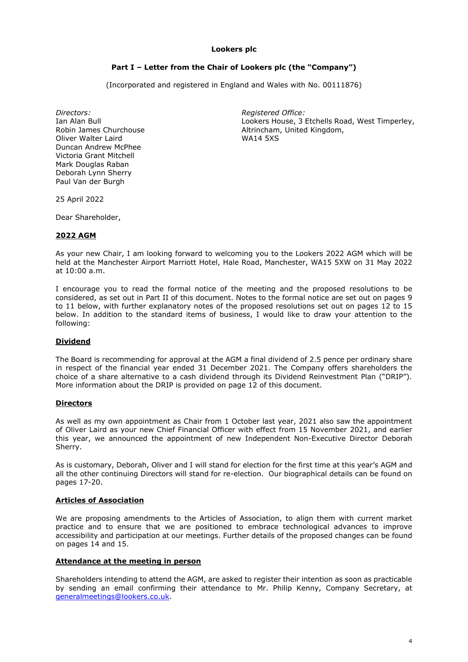# **Lookers plc**

# **Part I – Letter from the Chair of Lookers plc (the "Company")**

(Incorporated and registered in England and Wales with No. 00111876)

*Directors: Registered Office:* Ian Alan Bull Robin James Churchouse Oliver Walter Laird Duncan Andrew McPhee Victoria Grant Mitchell Mark Douglas Raban Deborah Lynn Sherry Paul Van der Burgh

Lookers House, 3 Etchells Road, West Timperley, Altrincham, United Kingdom, WA14 5XS

25 April 2022

Dear Shareholder,

#### **2022 AGM**

As your new Chair, I am looking forward to welcoming you to the Lookers 2022 AGM which will be held at the Manchester Airport Marriott Hotel, Hale Road, Manchester, WA15 5XW on 31 May 2022 at 10:00 a.m.

I encourage you to read the formal notice of the meeting and the proposed resolutions to be considered, as set out in Part II of this document. Notes to the formal notice are set out on pages 9 to 11 below, with further explanatory notes of the proposed resolutions set out on pages 12 to 15 below. In addition to the standard items of business, I would like to draw your attention to the following:

# **Dividend**

The Board is recommending for approval at the AGM a final dividend of 2.5 pence per ordinary share in respect of the financial year ended 31 December 2021. The Company offers shareholders the choice of a share alternative to a cash dividend through its Dividend Reinvestment Plan ("DRIP"). More information about the DRIP is provided on page 12 of this document.

#### **Directors**

As well as my own appointment as Chair from 1 October last year, 2021 also saw the appointment of Oliver Laird as your new Chief Financial Officer with effect from 15 November 2021, and earlier this year, we announced the appointment of new Independent Non-Executive Director Deborah Sherry.

As is customary, Deborah, Oliver and I will stand for election for the first time at this year's AGM and all the other continuing Directors will stand for re-election. Our biographical details can be found on pages 17-20.

#### **Articles of Association**

We are proposing amendments to the Articles of Association, to align them with current market practice and to ensure that we are positioned to embrace technological advances to improve accessibility and participation at our meetings. Further details of the proposed changes can be found on pages 14 and 15.

#### **Attendance at the meeting in person**

Shareholders intending to attend the AGM, are asked to register their intention as soon as practicable by sending an email confirming their attendance to Mr. Philip Kenny, Company Secretary, at [generalmeetings@lookers.co.uk.](mailto:generalmeetings@lookers.co.uk)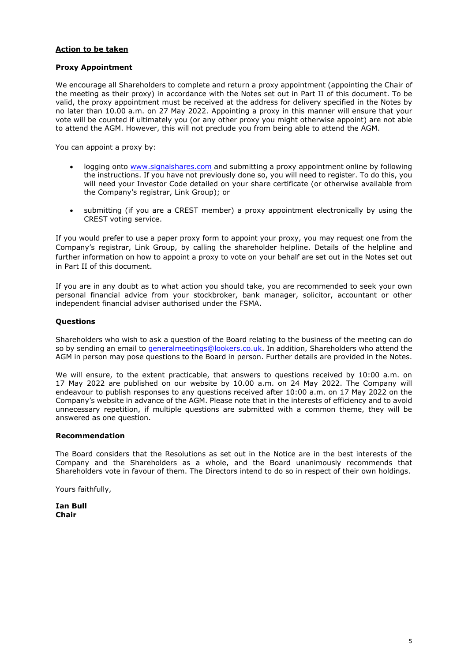# **Action to be taken**

# **Proxy Appointment**

We encourage all Shareholders to complete and return a proxy appointment (appointing the Chair of the meeting as their proxy) in accordance with the Notes set out in Part II of this document. To be valid, the proxy appointment must be received at the address for delivery specified in the Notes by no later than 10.00 a.m. on 27 May 2022. Appointing a proxy in this manner will ensure that your vote will be counted if ultimately you (or any other proxy you might otherwise appoint) are not able to attend the AGM. However, this will not preclude you from being able to attend the AGM.

You can appoint a proxy by:

- logging onto [www.signalshares.com](http://www.signalshares.com/) and submitting a proxy appointment online by following the instructions. If you have not previously done so, you will need to register. To do this, you will need your Investor Code detailed on your share certificate (or otherwise available from the Company's registrar, Link Group); or
- submitting (if you are a CREST member) a proxy appointment electronically by using the CREST voting service.

If you would prefer to use a paper proxy form to appoint your proxy, you may request one from the Company's registrar, Link Group, by calling the shareholder helpline. Details of the helpline and further information on how to appoint a proxy to vote on your behalf are set out in the Notes set out in Part II of this document.

If you are in any doubt as to what action you should take, you are recommended to seek your own personal financial advice from your stockbroker, bank manager, solicitor, accountant or other independent financial adviser authorised under the FSMA.

# **Questions**

Shareholders who wish to ask a question of the Board relating to the business of the meeting can do so by sending an email to [generalmeetings@lookers.co.uk.](mailto:generalmeetings@lookers.co.uk) In addition, Shareholders who attend the AGM in person may pose questions to the Board in person. Further details are provided in the Notes.

We will ensure, to the extent practicable, that answers to questions received by 10:00 a.m. on 17 May 2022 are published on our website by 10.00 a.m. on 24 May 2022. The Company will endeavour to publish responses to any questions received after 10:00 a.m. on 17 May 2022 on the Company's website in advance of the AGM. Please note that in the interests of efficiency and to avoid unnecessary repetition, if multiple questions are submitted with a common theme, they will be answered as one question.

# **Recommendation**

The Board considers that the Resolutions as set out in the Notice are in the best interests of the Company and the Shareholders as a whole, and the Board unanimously recommends that Shareholders vote in favour of them. The Directors intend to do so in respect of their own holdings.

Yours faithfully,

**Ian Bull Chair**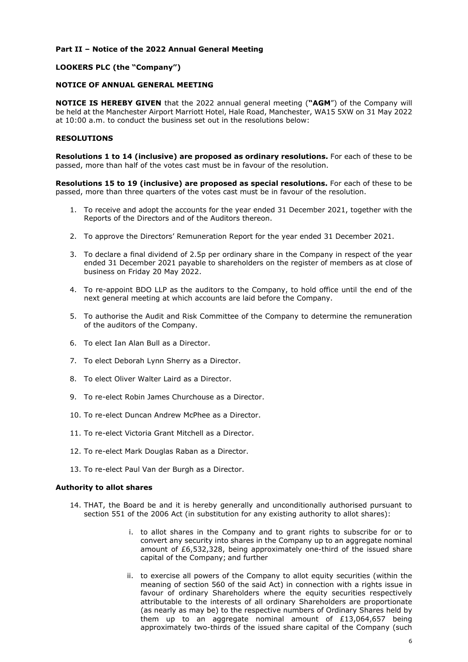# **Part II – Notice of the 2022 Annual General Meeting**

# **LOOKERS PLC (the "Company")**

# **NOTICE OF ANNUAL GENERAL MEETING**

**NOTICE IS HEREBY GIVEN** that the 2022 annual general meeting (**"AGM**") of the Company will be held at the Manchester Airport Marriott Hotel, Hale Road, Manchester, WA15 5XW on 31 May 2022 at 10:00 a.m. to conduct the business set out in the resolutions below:

# **RESOLUTIONS**

**Resolutions 1 to 14 (inclusive) are proposed as ordinary resolutions.** For each of these to be passed, more than half of the votes cast must be in favour of the resolution.

**Resolutions 15 to 19 (inclusive) are proposed as special resolutions.** For each of these to be passed, more than three quarters of the votes cast must be in favour of the resolution.

- 1. To receive and adopt the accounts for the year ended 31 December 2021, together with the Reports of the Directors and of the Auditors thereon.
- 2. To approve the Directors' Remuneration Report for the year ended 31 December 2021.
- 3. To declare a final dividend of 2.5p per ordinary share in the Company in respect of the year ended 31 December 2021 payable to shareholders on the register of members as at close of business on Friday 20 May 2022.
- 4. To re-appoint BDO LLP as the auditors to the Company, to hold office until the end of the next general meeting at which accounts are laid before the Company.
- 5. To authorise the Audit and Risk Committee of the Company to determine the remuneration of the auditors of the Company.
- 6. To elect Ian Alan Bull as a Director.
- 7. To elect Deborah Lynn Sherry as a Director.
- 8. To elect Oliver Walter Laird as a Director.
- 9. To re-elect Robin James Churchouse as a Director.
- 10. To re-elect Duncan Andrew McPhee as a Director.
- 11. To re-elect Victoria Grant Mitchell as a Director.
- 12. To re-elect Mark Douglas Raban as a Director.
- 13. To re-elect Paul Van der Burgh as a Director.

# **Authority to allot shares**

- 14. THAT, the Board be and it is hereby generally and unconditionally authorised pursuant to section 551 of the 2006 Act (in substitution for any existing authority to allot shares):
	- i. to allot shares in the Company and to grant rights to subscribe for or to convert any security into shares in the Company up to an aggregate nominal amount of £6,532,328, being approximately one-third of the issued share capital of the Company; and further
	- ii. to exercise all powers of the Company to allot equity securities (within the meaning of section 560 of the said Act) in connection with a rights issue in favour of ordinary Shareholders where the equity securities respectively attributable to the interests of all ordinary Shareholders are proportionate (as nearly as may be) to the respective numbers of Ordinary Shares held by them up to an aggregate nominal amount of £13,064,657 being approximately two-thirds of the issued share capital of the Company (such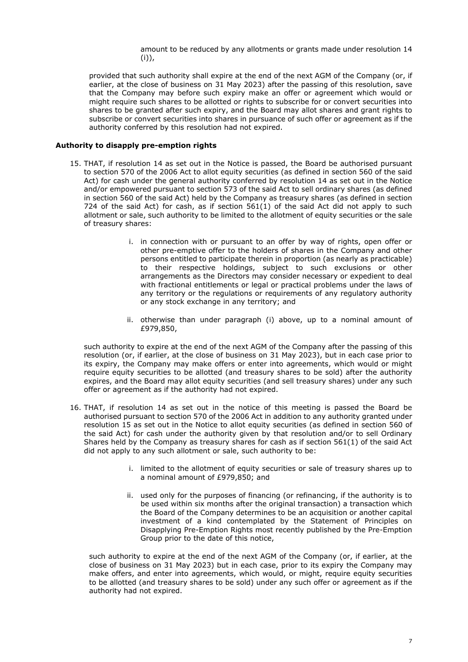amount to be reduced by any allotments or grants made under resolution 14  $(i)$ ),

provided that such authority shall expire at the end of the next AGM of the Company (or, if earlier, at the close of business on 31 May 2023) after the passing of this resolution, save that the Company may before such expiry make an offer or agreement which would or might require such shares to be allotted or rights to subscribe for or convert securities into shares to be granted after such expiry, and the Board may allot shares and grant rights to subscribe or convert securities into shares in pursuance of such offer or agreement as if the authority conferred by this resolution had not expired.

# **Authority to disapply pre-emption rights**

- 15. THAT, if resolution 14 as set out in the Notice is passed, the Board be authorised pursuant to section 570 of the 2006 Act to allot equity securities (as defined in section 560 of the said Act) for cash under the general authority conferred by resolution 14 as set out in the Notice and/or empowered pursuant to section 573 of the said Act to sell ordinary shares (as defined in section 560 of the said Act) held by the Company as treasury shares (as defined in section 724 of the said Act) for cash, as if section 561(1) of the said Act did not apply to such allotment or sale, such authority to be limited to the allotment of equity securities or the sale of treasury shares:
	- i. in connection with or pursuant to an offer by way of rights, open offer or other pre-emptive offer to the holders of shares in the Company and other persons entitled to participate therein in proportion (as nearly as practicable) to their respective holdings, subject to such exclusions or other arrangements as the Directors may consider necessary or expedient to deal with fractional entitlements or legal or practical problems under the laws of any territory or the regulations or requirements of any regulatory authority or any stock exchange in any territory; and
	- ii. otherwise than under paragraph (i) above, up to a nominal amount of £979,850,

such authority to expire at the end of the next AGM of the Company after the passing of this resolution (or, if earlier, at the close of business on 31 May 2023), but in each case prior to its expiry, the Company may make offers or enter into agreements, which would or might require equity securities to be allotted (and treasury shares to be sold) after the authority expires, and the Board may allot equity securities (and sell treasury shares) under any such offer or agreement as if the authority had not expired.

- 16. THAT, if resolution 14 as set out in the notice of this meeting is passed the Board be authorised pursuant to section 570 of the 2006 Act in addition to any authority granted under resolution 15 as set out in the Notice to allot equity securities (as defined in section 560 of the said Act) for cash under the authority given by that resolution and/or to sell Ordinary Shares held by the Company as treasury shares for cash as if section 561(1) of the said Act did not apply to any such allotment or sale, such authority to be:
	- i. limited to the allotment of equity securities or sale of treasury shares up to a nominal amount of £979,850; and
	- ii. used only for the purposes of financing (or refinancing, if the authority is to be used within six months after the original transaction) a transaction which the Board of the Company determines to be an acquisition or another capital investment of a kind contemplated by the Statement of Principles on Disapplying Pre-Emption Rights most recently published by the Pre-Emption Group prior to the date of this notice,

such authority to expire at the end of the next AGM of the Company (or, if earlier, at the close of business on 31 May 2023) but in each case, prior to its expiry the Company may make offers, and enter into agreements, which would, or might, require equity securities to be allotted (and treasury shares to be sold) under any such offer or agreement as if the authority had not expired.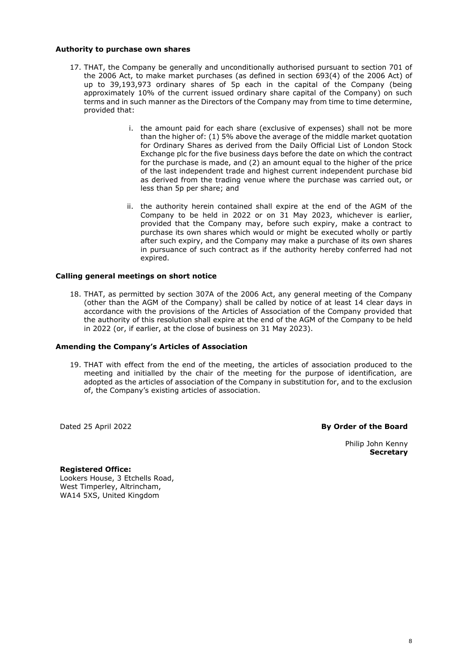#### **Authority to purchase own shares**

- 17. THAT, the Company be generally and unconditionally authorised pursuant to section 701 of the 2006 Act, to make market purchases (as defined in section 693(4) of the 2006 Act) of up to 39,193,973 ordinary shares of 5p each in the capital of the Company (being approximately 10% of the current issued ordinary share capital of the Company) on such terms and in such manner as the Directors of the Company may from time to time determine, provided that:
	- i. the amount paid for each share (exclusive of expenses) shall not be more than the higher of: (1) 5% above the average of the middle market quotation for Ordinary Shares as derived from the Daily Official List of London Stock Exchange plc for the five business days before the date on which the contract for the purchase is made, and (2) an amount equal to the higher of the price of the last independent trade and highest current independent purchase bid as derived from the trading venue where the purchase was carried out, or less than 5p per share; and
	- ii. the authority herein contained shall expire at the end of the AGM of the Company to be held in 2022 or on 31 May 2023, whichever is earlier, provided that the Company may, before such expiry, make a contract to purchase its own shares which would or might be executed wholly or partly after such expiry, and the Company may make a purchase of its own shares in pursuance of such contract as if the authority hereby conferred had not expired.

#### **Calling general meetings on short notice**

18. THAT, as permitted by section 307A of the 2006 Act, any general meeting of the Company (other than the AGM of the Company) shall be called by notice of at least 14 clear days in accordance with the provisions of the Articles of Association of the Company provided that the authority of this resolution shall expire at the end of the AGM of the Company to be held in 2022 (or, if earlier, at the close of business on 31 May 2023).

#### **Amending the Company's Articles of Association**

19. THAT with effect from the end of the meeting, the articles of association produced to the meeting and initialled by the chair of the meeting for the purpose of identification, are adopted as the articles of association of the Company in substitution for, and to the exclusion of, the Company's existing articles of association.

Dated 25 April 2022

**By Order of the Board**

Philip John Kenny **Secretary**

**Registered Office:** Lookers House, 3 Etchells Road, West Timperley, Altrincham, WA14 5XS, United Kingdom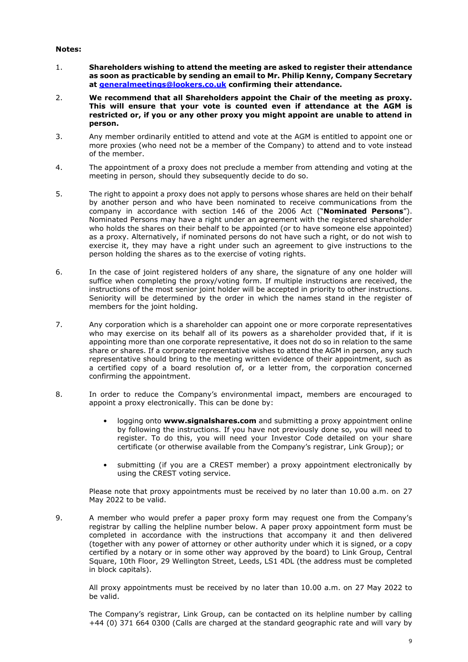#### **Notes:**

- 1. **Shareholders wishing to attend the meeting are asked to register their attendance as soon as practicable by sending an email to Mr. Philip Kenny, Company Secretary at [generalmeetings@lookers.co.uk](mailto:generalmeetings@lookers.co.uk) confirming their attendance.**
- 2. **We recommend that all Shareholders appoint the Chair of the meeting as proxy. This will ensure that your vote is counted even if attendance at the AGM is restricted or, if you or any other proxy you might appoint are unable to attend in person.**
- 3. Any member ordinarily entitled to attend and vote at the AGM is entitled to appoint one or more proxies (who need not be a member of the Company) to attend and to vote instead of the member.
- 4. The appointment of a proxy does not preclude a member from attending and voting at the meeting in person, should they subsequently decide to do so.
- 5. The right to appoint a proxy does not apply to persons whose shares are held on their behalf by another person and who have been nominated to receive communications from the company in accordance with section 146 of the 2006 Act ("**Nominated Persons**"). Nominated Persons may have a right under an agreement with the registered shareholder who holds the shares on their behalf to be appointed (or to have someone else appointed) as a proxy. Alternatively, if nominated persons do not have such a right, or do not wish to exercise it, they may have a right under such an agreement to give instructions to the person holding the shares as to the exercise of voting rights.
- 6. In the case of joint registered holders of any share, the signature of any one holder will suffice when completing the proxy/voting form. If multiple instructions are received, the instructions of the most senior joint holder will be accepted in priority to other instructions. Seniority will be determined by the order in which the names stand in the register of members for the joint holding.
- 7. Any corporation which is a shareholder can appoint one or more corporate representatives who may exercise on its behalf all of its powers as a shareholder provided that, if it is appointing more than one corporate representative, it does not do so in relation to the same share or shares. If a corporate representative wishes to attend the AGM in person, any such representative should bring to the meeting written evidence of their appointment, such as a certified copy of a board resolution of, or a letter from, the corporation concerned confirming the appointment.
- 8. In order to reduce the Company's environmental impact, members are encouraged to appoint a proxy electronically. This can be done by:
	- logging onto **www.signalshares.com** and submitting a proxy appointment online by following the instructions. If you have not previously done so, you will need to register. To do this, you will need your Investor Code detailed on your share certificate (or otherwise available from the Company's registrar, Link Group); or
	- submitting (if you are a CREST member) a proxy appointment electronically by using the CREST voting service.

Please note that proxy appointments must be received by no later than 10.00 a.m. on 27 May 2022 to be valid.

9. A member who would prefer a paper proxy form may request one from the Company's registrar by calling the helpline number below. A paper proxy appointment form must be completed in accordance with the instructions that accompany it and then delivered (together with any power of attorney or other authority under which it is signed, or a copy certified by a notary or in some other way approved by the board) to Link Group, Central Square, 10th Floor, 29 Wellington Street, Leeds, LS1 4DL (the address must be completed in block capitals).

All proxy appointments must be received by no later than 10.00 a.m. on 27 May 2022 to be valid.

The Company's registrar, Link Group, can be contacted on its helpline number by calling +44 (0) 371 664 0300 (Calls are charged at the standard geographic rate and will vary by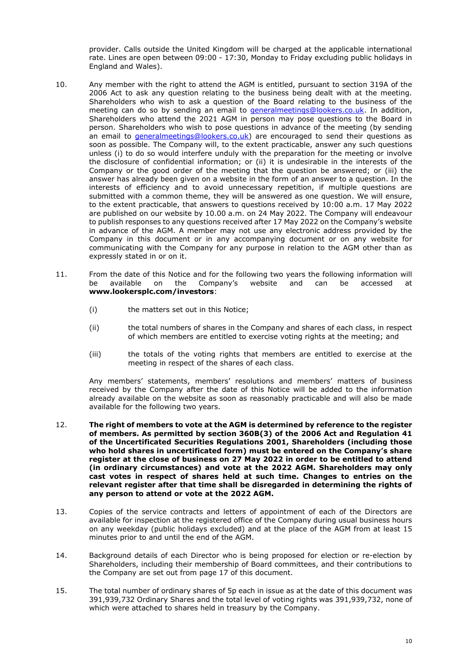provider. Calls outside the United Kingdom will be charged at the applicable international rate. Lines are open between 09:00 - 17:30, Monday to Friday excluding public holidays in England and Wales).

- 10. Any member with the right to attend the AGM is entitled, pursuant to section 319A of the 2006 Act to ask any question relating to the business being dealt with at the meeting. Shareholders who wish to ask a question of the Board relating to the business of the meeting can do so by sending an email to [generalmeetings@lookers.co.uk.](mailto:generalmeetings@lookers.co.uk) In addition, Shareholders who attend the 2021 AGM in person may pose questions to the Board in person. Shareholders who wish to pose questions in advance of the meeting (by sending an email to *generalmeetings@lookers.co.uk*) are encouraged to send their questions as soon as possible. The Company will, to the extent practicable, answer any such questions unless (i) to do so would interfere unduly with the preparation for the meeting or involve the disclosure of confidential information; or (ii) it is undesirable in the interests of the Company or the good order of the meeting that the question be answered; or (iii) the answer has already been given on a website in the form of an answer to a question. In the interests of efficiency and to avoid unnecessary repetition, if multiple questions are submitted with a common theme, they will be answered as one question. We will ensure, to the extent practicable, that answers to questions received by 10:00 a.m. 17 May 2022 are published on our website by 10.00 a.m. on 24 May 2022. The Company will endeavour to publish responses to any questions received after 17 May 2022 on the Company's website in advance of the AGM. A member may not use any electronic address provided by the Company in this document or in any accompanying document or on any website for communicating with the Company for any purpose in relation to the AGM other than as expressly stated in or on it.
- 11. From the date of this Notice and for the following two years the following information will<br>be available on the Company's website and can be accessed at be available on the Company's website and can be accessed at **www.lookersplc.com/investors**:
	- (i) the matters set out in this Notice;
	- (ii) the total numbers of shares in the Company and shares of each class, in respect of which members are entitled to exercise voting rights at the meeting; and
	- (iii) the totals of the voting rights that members are entitled to exercise at the meeting in respect of the shares of each class.

Any members' statements, members' resolutions and members' matters of business received by the Company after the date of this Notice will be added to the information already available on the website as soon as reasonably practicable and will also be made available for the following two years.

- 12. **The right of members to vote at the AGM is determined by reference to the register of members. As permitted by section 360B(3) of the 2006 Act and Regulation 41 of the Uncertificated Securities Regulations 2001, Shareholders (including those who hold shares in uncertificated form) must be entered on the Company's share register at the close of business on 27 May 2022 in order to be entitled to attend (in ordinary circumstances) and vote at the 2022 AGM. Shareholders may only cast votes in respect of shares held at such time. Changes to entries on the relevant register after that time shall be disregarded in determining the rights of any person to attend or vote at the 2022 AGM.**
- 13. Copies of the service contracts and letters of appointment of each of the Directors are available for inspection at the registered office of the Company during usual business hours on any weekday (public holidays excluded) and at the place of the AGM from at least 15 minutes prior to and until the end of the AGM.
- 14. Background details of each Director who is being proposed for election or re-election by Shareholders, including their membership of Board committees, and their contributions to the Company are set out from page 17 of this document.
- 15. The total number of ordinary shares of 5p each in issue as at the date of this document was 391,939,732 Ordinary Shares and the total level of voting rights was 391,939,732, none of which were attached to shares held in treasury by the Company.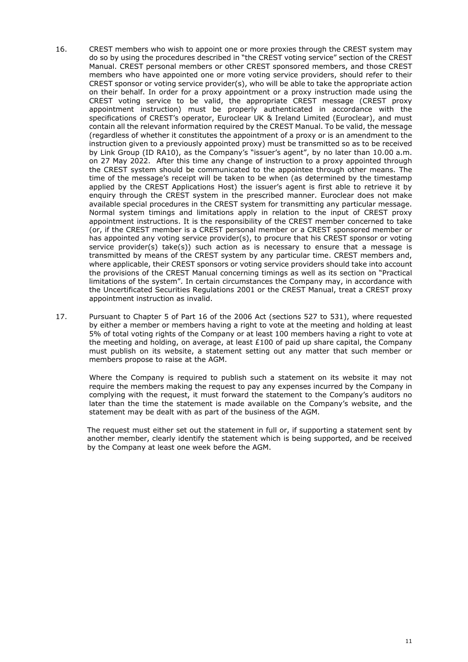- 16. CREST members who wish to appoint one or more proxies through the CREST system may do so by using the procedures described in "the CREST voting service" section of the CREST Manual. CREST personal members or other CREST sponsored members, and those CREST members who have appointed one or more voting service providers, should refer to their CREST sponsor or voting service provider(s), who will be able to take the appropriate action on their behalf. In order for a proxy appointment or a proxy instruction made using the CREST voting service to be valid, the appropriate CREST message (CREST proxy appointment instruction) must be properly authenticated in accordance with the specifications of CREST's operator, Euroclear UK & Ireland Limited (Euroclear), and must contain all the relevant information required by the CREST Manual. To be valid, the message (regardless of whether it constitutes the appointment of a proxy or is an amendment to the instruction given to a previously appointed proxy) must be transmitted so as to be received by Link Group (ID RA10), as the Company's "issuer's agent", by no later than 10.00 a.m. on 27 May 2022. After this time any change of instruction to a proxy appointed through the CREST system should be communicated to the appointee through other means. The time of the message's receipt will be taken to be when (as determined by the timestamp applied by the CREST Applications Host) the issuer's agent is first able to retrieve it by enquiry through the CREST system in the prescribed manner. Euroclear does not make available special procedures in the CREST system for transmitting any particular message. Normal system timings and limitations apply in relation to the input of CREST proxy appointment instructions. It is the responsibility of the CREST member concerned to take (or, if the CREST member is a CREST personal member or a CREST sponsored member or has appointed any voting service provider(s), to procure that his CREST sponsor or voting service provider(s) take(s)) such action as is necessary to ensure that a message is transmitted by means of the CREST system by any particular time. CREST members and, where applicable, their CREST sponsors or voting service providers should take into account the provisions of the CREST Manual concerning timings as well as its section on "Practical limitations of the system". In certain circumstances the Company may, in accordance with the Uncertificated Securities Regulations 2001 or the CREST Manual, treat a CREST proxy appointment instruction as invalid.
- 17. Pursuant to Chapter 5 of Part 16 of the 2006 Act (sections 527 to 531), where requested by either a member or members having a right to vote at the meeting and holding at least 5% of total voting rights of the Company or at least 100 members having a right to vote at the meeting and holding, on average, at least £100 of paid up share capital, the Company must publish on its website, a statement setting out any matter that such member or members propose to raise at the AGM.

Where the Company is required to publish such a statement on its website it may not require the members making the request to pay any expenses incurred by the Company in complying with the request, it must forward the statement to the Company's auditors no later than the time the statement is made available on the Company's website, and the statement may be dealt with as part of the business of the AGM.

The request must either set out the statement in full or, if supporting a statement sent by another member, clearly identify the statement which is being supported, and be received by the Company at least one week before the AGM.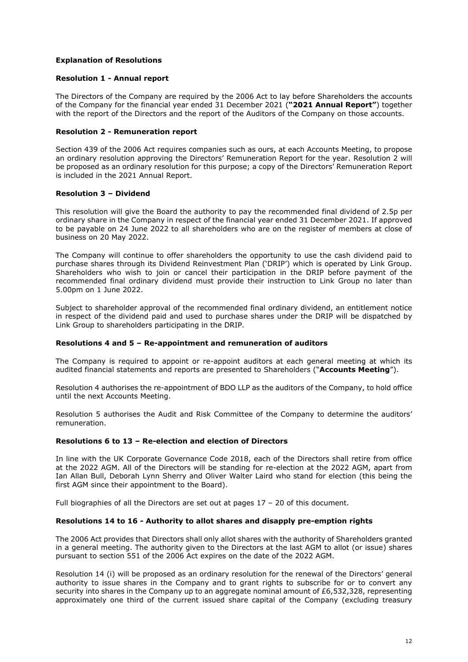# **Explanation of Resolutions**

# **Resolution 1 - Annual report**

The Directors of the Company are required by the 2006 Act to lay before Shareholders the accounts of the Company for the financial year ended 31 December 2021 (**"2021 Annual Report"**) together with the report of the Directors and the report of the Auditors of the Company on those accounts.

# **Resolution 2 - Remuneration report**

Section 439 of the 2006 Act requires companies such as ours, at each Accounts Meeting, to propose an ordinary resolution approving the Directors' Remuneration Report for the year. Resolution 2 will be proposed as an ordinary resolution for this purpose; a copy of the Directors' Remuneration Report is included in the 2021 Annual Report.

# **Resolution 3 – Dividend**

This resolution will give the Board the authority to pay the recommended final dividend of 2.5p per ordinary share in the Company in respect of the financial year ended 31 December 2021. If approved to be payable on 24 June 2022 to all shareholders who are on the register of members at close of business on 20 May 2022.

The Company will continue to offer shareholders the opportunity to use the cash dividend paid to purchase shares through its Dividend Reinvestment Plan ('DRIP') which is operated by Link Group. Shareholders who wish to join or cancel their participation in the DRIP before payment of the recommended final ordinary dividend must provide their instruction to Link Group no later than 5.00pm on 1 June 2022.

Subject to shareholder approval of the recommended final ordinary dividend, an entitlement notice in respect of the dividend paid and used to purchase shares under the DRIP will be dispatched by Link Group to shareholders participating in the DRIP.

# **Resolutions 4 and 5 – Re-appointment and remuneration of auditors**

The Company is required to appoint or re-appoint auditors at each general meeting at which its audited financial statements and reports are presented to Shareholders ("**Accounts Meeting**").

Resolution 4 authorises the re-appointment of BDO LLP as the auditors of the Company, to hold office until the next Accounts Meeting.

Resolution 5 authorises the Audit and Risk Committee of the Company to determine the auditors' remuneration.

# **Resolutions 6 to 13 – Re-election and election of Directors**

In line with the UK Corporate Governance Code 2018, each of the Directors shall retire from office at the 2022 AGM. All of the Directors will be standing for re-election at the 2022 AGM, apart from Ian Allan Bull, Deborah Lynn Sherry and Oliver Walter Laird who stand for election (this being the first AGM since their appointment to the Board).

Full biographies of all the Directors are set out at pages 17 – 20 of this document.

# **Resolutions 14 to 16 - Authority to allot shares and disapply pre-emption rights**

The 2006 Act provides that Directors shall only allot shares with the authority of Shareholders granted in a general meeting. The authority given to the Directors at the last AGM to allot (or issue) shares pursuant to section 551 of the 2006 Act expires on the date of the 2022 AGM.

Resolution 14 (i) will be proposed as an ordinary resolution for the renewal of the Directors' general authority to issue shares in the Company and to grant rights to subscribe for or to convert any security into shares in the Company up to an aggregate nominal amount of £6,532,328, representing approximately one third of the current issued share capital of the Company (excluding treasury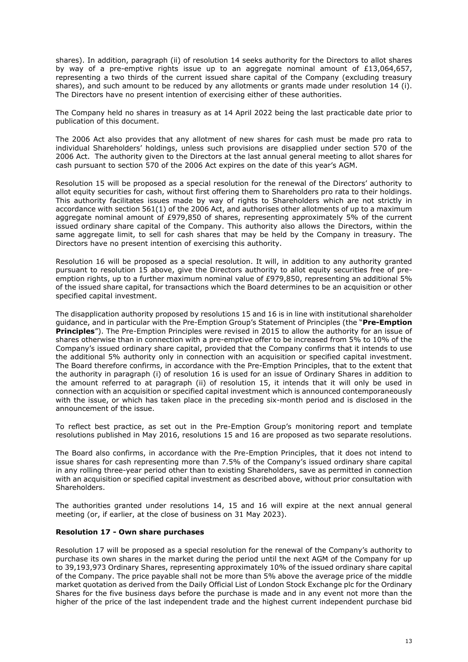shares). In addition, paragraph (ii) of resolution 14 seeks authority for the Directors to allot shares by way of a pre-emptive rights issue up to an aggregate nominal amount of £13,064,657, representing a two thirds of the current issued share capital of the Company (excluding treasury shares), and such amount to be reduced by any allotments or grants made under resolution 14 (i). The Directors have no present intention of exercising either of these authorities.

The Company held no shares in treasury as at 14 April 2022 being the last practicable date prior to publication of this document.

The 2006 Act also provides that any allotment of new shares for cash must be made pro rata to individual Shareholders' holdings, unless such provisions are disapplied under section 570 of the 2006 Act. The authority given to the Directors at the last annual general meeting to allot shares for cash pursuant to section 570 of the 2006 Act expires on the date of this year's AGM.

Resolution 15 will be proposed as a special resolution for the renewal of the Directors' authority to allot equity securities for cash, without first offering them to Shareholders pro rata to their holdings. This authority facilitates issues made by way of rights to Shareholders which are not strictly in accordance with section 561(1) of the 2006 Act, and authorises other allotments of up to a maximum aggregate nominal amount of £979,850 of shares, representing approximately 5% of the current issued ordinary share capital of the Company. This authority also allows the Directors, within the same aggregate limit, to sell for cash shares that may be held by the Company in treasury. The Directors have no present intention of exercising this authority.

Resolution 16 will be proposed as a special resolution. It will, in addition to any authority granted pursuant to resolution 15 above, give the Directors authority to allot equity securities free of preemption rights, up to a further maximum nominal value of £979,850, representing an additional 5% of the issued share capital, for transactions which the Board determines to be an acquisition or other specified capital investment.

The disapplication authority proposed by resolutions 15 and 16 is in line with institutional shareholder guidance, and in particular with the Pre-Emption Group's Statement of Principles (the "**Pre-Emption Principles**"). The Pre-Emption Principles were revised in 2015 to allow the authority for an issue of shares otherwise than in connection with a pre-emptive offer to be increased from 5% to 10% of the Company's issued ordinary share capital, provided that the Company confirms that it intends to use the additional 5% authority only in connection with an acquisition or specified capital investment. The Board therefore confirms, in accordance with the Pre-Emption Principles, that to the extent that the authority in paragraph (i) of resolution 16 is used for an issue of Ordinary Shares in addition to the amount referred to at paragraph (ii) of resolution 15, it intends that it will only be used in connection with an acquisition or specified capital investment which is announced contemporaneously with the issue, or which has taken place in the preceding six-month period and is disclosed in the announcement of the issue.

To reflect best practice, as set out in the Pre-Emption Group's monitoring report and template resolutions published in May 2016, resolutions 15 and 16 are proposed as two separate resolutions.

The Board also confirms, in accordance with the Pre-Emption Principles, that it does not intend to issue shares for cash representing more than 7.5% of the Company's issued ordinary share capital in any rolling three-year period other than to existing Shareholders, save as permitted in connection with an acquisition or specified capital investment as described above, without prior consultation with Shareholders.

The authorities granted under resolutions 14, 15 and 16 will expire at the next annual general meeting (or, if earlier, at the close of business on 31 May 2023).

# **Resolution 17 - Own share purchases**

Resolution 17 will be proposed as a special resolution for the renewal of the Company's authority to purchase its own shares in the market during the period until the next AGM of the Company for up to 39,193,973 Ordinary Shares, representing approximately 10% of the issued ordinary share capital of the Company. The price payable shall not be more than 5% above the average price of the middle market quotation as derived from the Daily Official List of London Stock Exchange plc for the Ordinary Shares for the five business days before the purchase is made and in any event not more than the higher of the price of the last independent trade and the highest current independent purchase bid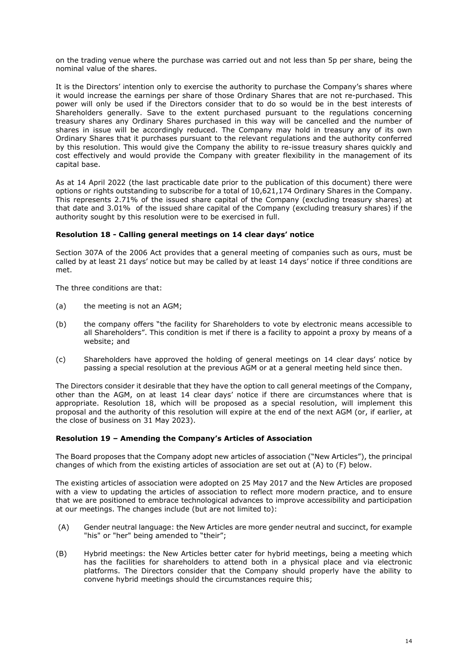on the trading venue where the purchase was carried out and not less than 5p per share, being the nominal value of the shares.

It is the Directors' intention only to exercise the authority to purchase the Company's shares where it would increase the earnings per share of those Ordinary Shares that are not re-purchased. This power will only be used if the Directors consider that to do so would be in the best interests of Shareholders generally. Save to the extent purchased pursuant to the regulations concerning treasury shares any Ordinary Shares purchased in this way will be cancelled and the number of shares in issue will be accordingly reduced. The Company may hold in treasury any of its own Ordinary Shares that it purchases pursuant to the relevant regulations and the authority conferred by this resolution. This would give the Company the ability to re-issue treasury shares quickly and cost effectively and would provide the Company with greater flexibility in the management of its capital base.

As at 14 April 2022 (the last practicable date prior to the publication of this document) there were options or rights outstanding to subscribe for a total of 10,621,174 Ordinary Shares in the Company. This represents 2.71% of the issued share capital of the Company (excluding treasury shares) at that date and 3.01% of the issued share capital of the Company (excluding treasury shares) if the authority sought by this resolution were to be exercised in full.

# **Resolution 18 - Calling general meetings on 14 clear days' notice**

Section 307A of the 2006 Act provides that a general meeting of companies such as ours, must be called by at least 21 days' notice but may be called by at least 14 days' notice if three conditions are met.

The three conditions are that:

- (a) the meeting is not an AGM;
- (b) the company offers "the facility for Shareholders to vote by electronic means accessible to all Shareholders". This condition is met if there is a facility to appoint a proxy by means of a website; and
- (c) Shareholders have approved the holding of general meetings on 14 clear days' notice by passing a special resolution at the previous AGM or at a general meeting held since then.

The Directors consider it desirable that they have the option to call general meetings of the Company, other than the AGM, on at least 14 clear days' notice if there are circumstances where that is appropriate. Resolution 18, which will be proposed as a special resolution, will implement this proposal and the authority of this resolution will expire at the end of the next AGM (or, if earlier, at the close of business on 31 May 2023).

# **Resolution 19 – Amending the Company's Articles of Association**

The Board proposes that the Company adopt new articles of association ("New Articles"), the principal changes of which from the existing articles of association are set out at (A) to (F) below.

The existing articles of association were adopted on 25 May 2017 and the New Articles are proposed with a view to updating the articles of association to reflect more modern practice, and to ensure that we are positioned to embrace technological advances to improve accessibility and participation at our meetings. The changes include (but are not limited to):

- (A) Gender neutral language: the New Articles are more gender neutral and succinct, for example "his" or "her" being amended to "their";
- (B) Hybrid meetings: the New Articles better cater for hybrid meetings, being a meeting which has the facilities for shareholders to attend both in a physical place and via electronic platforms. The Directors consider that the Company should properly have the ability to convene hybrid meetings should the circumstances require this;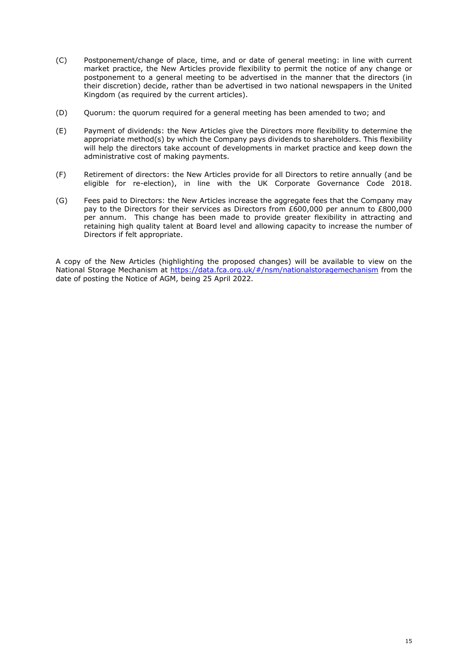- (C) Postponement/change of place, time, and or date of general meeting: in line with current market practice, the New Articles provide flexibility to permit the notice of any change or postponement to a general meeting to be advertised in the manner that the directors (in their discretion) decide, rather than be advertised in two national newspapers in the United Kingdom (as required by the current articles).
- (D) Quorum: the quorum required for a general meeting has been amended to two; and
- (E) Payment of dividends: the New Articles give the Directors more flexibility to determine the appropriate method(s) by which the Company pays dividends to shareholders. This flexibility will help the directors take account of developments in market practice and keep down the administrative cost of making payments.
- (F) Retirement of directors: the New Articles provide for all Directors to retire annually (and be eligible for re-election), in line with the UK Corporate Governance Code 2018.
- (G) Fees paid to Directors: the New Articles increase the aggregate fees that the Company may pay to the Directors for their services as Directors from £600,000 per annum to £800,000 per annum. This change has been made to provide greater flexibility in attracting and retaining high quality talent at Board level and allowing capacity to increase the number of Directors if felt appropriate.

A copy of the New Articles (highlighting the proposed changes) will be available to view on the National Storage Mechanism at<https://data.fca.org.uk/#/nsm/nationalstoragemechanism> from the date of posting the Notice of AGM, being 25 April 2022.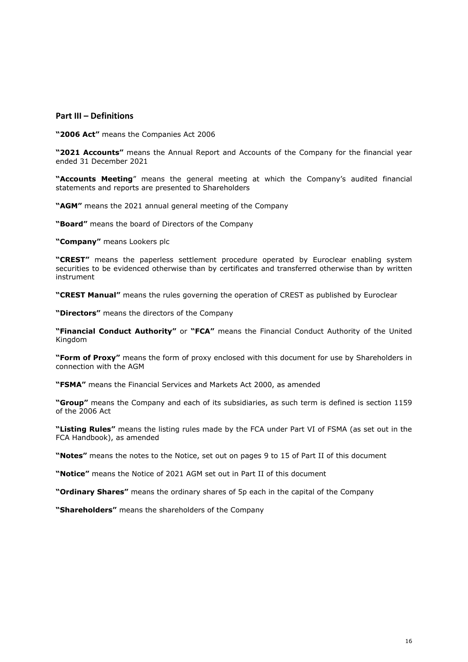# **Part III – Definitions**

**"2006 Act"** means the Companies Act 2006

**"2021 Accounts"** means the Annual Report and Accounts of the Company for the financial year ended 31 December 2021

**"Accounts Meeting**" means the general meeting at which the Company's audited financial statements and reports are presented to Shareholders

**"AGM"** means the 2021 annual general meeting of the Company

**"Board"** means the board of Directors of the Company

**"Company"** means Lookers plc

**"CREST"** means the paperless settlement procedure operated by Euroclear enabling system securities to be evidenced otherwise than by certificates and transferred otherwise than by written instrument

**"CREST Manual"** means the rules governing the operation of CREST as published by Euroclear

**"Directors"** means the directors of the Company

**"Financial Conduct Authority"** or **"FCA"** means the Financial Conduct Authority of the United Kingdom

**"Form of Proxy"** means the form of proxy enclosed with this document for use by Shareholders in connection with the AGM

**"FSMA"** means the Financial Services and Markets Act 2000, as amended

**"Group"** means the Company and each of its subsidiaries, as such term is defined is section 1159 of the 2006 Act

**"Listing Rules"** means the listing rules made by the FCA under Part VI of FSMA (as set out in the FCA Handbook), as amended

**"Notes"** means the notes to the Notice, set out on pages 9 to 15 of Part II of this document

**"Notice"** means the Notice of 2021 AGM set out in Part II of this document

**"Ordinary Shares"** means the ordinary shares of 5p each in the capital of the Company

**"Shareholders"** means the shareholders of the Company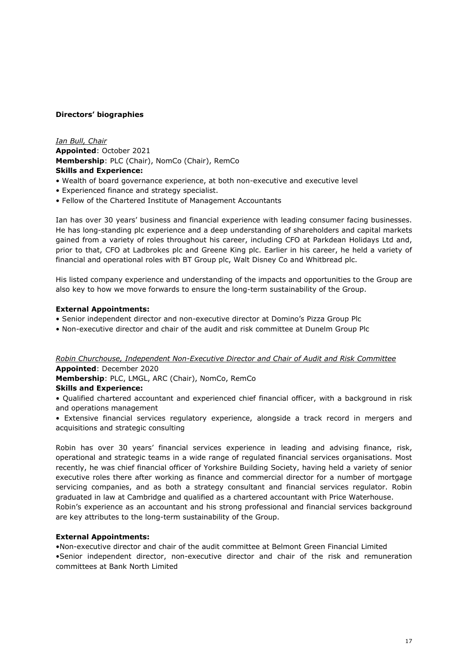# **Directors' biographies**

*Ian Bull, Chair* **Appointed**: October 2021 **Membership**: PLC (Chair), NomCo (Chair), RemCo **Skills and Experience:**

- Wealth of board governance experience, at both non-executive and executive level
- Experienced finance and strategy specialist.
- Fellow of the Chartered Institute of Management Accountants

Ian has over 30 years' business and financial experience with leading consumer facing businesses. He has long-standing plc experience and a deep understanding of shareholders and capital markets gained from a variety of roles throughout his career, including CFO at Parkdean Holidays Ltd and, prior to that, CFO at Ladbrokes plc and Greene King plc. Earlier in his career, he held a variety of financial and operational roles with BT Group plc, Walt Disney Co and Whitbread plc.

His listed company experience and understanding of the impacts and opportunities to the Group are also key to how we move forwards to ensure the long-term sustainability of the Group.

# **External Appointments:**

- Senior independent director and non-executive director at Domino's Pizza Group Plc
- Non-executive director and chair of the audit and risk committee at Dunelm Group Plc

*Robin Churchouse, Independent Non-Executive Director and Chair of Audit and Risk Committee* **Appointed**: December 2020

**Membership**: PLC, LMGL, ARC (Chair), NomCo, RemCo

# **Skills and Experience:**

• Qualified chartered accountant and experienced chief financial officer, with a background in risk and operations management

• Extensive financial services regulatory experience, alongside a track record in mergers and acquisitions and strategic consulting

Robin has over 30 years' financial services experience in leading and advising finance, risk, operational and strategic teams in a wide range of regulated financial services organisations. Most recently, he was chief financial officer of Yorkshire Building Society, having held a variety of senior executive roles there after working as finance and commercial director for a number of mortgage servicing companies, and as both a strategy consultant and financial services regulator. Robin graduated in law at Cambridge and qualified as a chartered accountant with Price Waterhouse. Robin's experience as an accountant and his strong professional and financial services background are key attributes to the long-term sustainability of the Group.

# **External Appointments:**

•Non-executive director and chair of the audit committee at Belmont Green Financial Limited •Senior independent director, non-executive director and chair of the risk and remuneration committees at Bank North Limited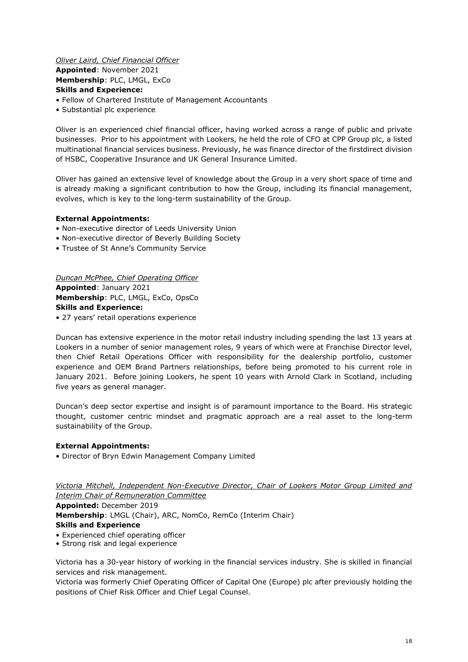# *Oliver Laird, Chief Financial Officer* **Appointed**: November 2021 **Membership**: PLC, LMGL, ExCo **Skills and Experience:**

- Fellow of Chartered Institute of Management Accountants
- Substantial plc experience

Oliver is an experienced chief financial officer, having worked across a range of public and private businesses. Prior to his appointment with Lookers, he held the role of CFO at CPP Group plc, a listed multinational financial services business. Previously, he was finance director of the firstdirect division of HSBC, Cooperative Insurance and UK General Insurance Limited.

Oliver has gained an extensive level of knowledge about the Group in a very short space of time and is already making a significant contribution to how the Group, including its financial management, evolves, which is key to the long-term sustainability of the Group.

# **External Appointments:**

- Non-executive director of Leeds University Union
- Non-executive director of Beverly Building Society
- Trustee of St Anne's Community Service

*Duncan McPhee, Chief Operating Officer* **Appointed**: January 2021 **Membership**: PLC, LMGL, ExCo, OpsCo **Skills and Experience:**

• 27 years' retail operations experience

Duncan has extensive experience in the motor retail industry including spending the last 13 years at Lookers in a number of senior management roles, 9 years of which were at Franchise Director level, then Chief Retail Operations Officer with responsibility for the dealership portfolio, customer experience and OEM Brand Partners relationships, before being promoted to his current role in January 2021. Before joining Lookers, he spent 10 years with Arnold Clark in Scotland, including five years as general manager.

Duncan's deep sector expertise and insight is of paramount importance to the Board. His strategic thought, customer centric mindset and pragmatic approach are a real asset to the long-term sustainability of the Group.

# **External Appointments:**

• Director of Bryn Edwin Management Company Limited

*Victoria Mitchell, Independent Non-Executive Director, Chair of Lookers Motor Group Limited and Interim Chair of Remuneration Committee* **Appointed:** December 2019

**Membership**: LMGL (Chair), ARC, NomCo, RemCo (Interim Chair)

#### **Skills and Experience**

- Experienced chief operating officer
- Strong risk and legal experience

Victoria has a 30-year history of working in the financial services industry. She is skilled in financial services and risk management.

Victoria was formerly Chief Operating Officer of Capital One (Europe) plc after previously holding the positions of Chief Risk Officer and Chief Legal Counsel.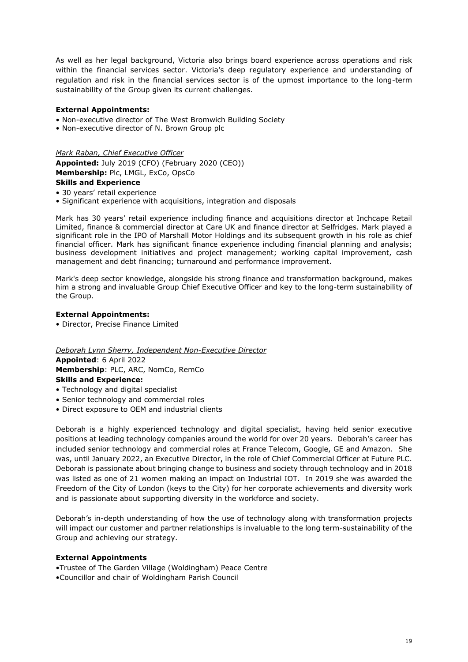As well as her legal background, Victoria also brings board experience across operations and risk within the financial services sector. Victoria's deep regulatory experience and understanding of regulation and risk in the financial services sector is of the upmost importance to the long-term sustainability of the Group given its current challenges.

# **External Appointments:**

- Non-executive director of The West Bromwich Building Society
- Non-executive director of N. Brown Group plc

*Mark Raban, Chief Executive Officer*

**Appointed:** July 2019 (CFO) (February 2020 (CEO)) **Membership:** Plc, LMGL, ExCo, OpsCo **Skills and Experience**

- 30 years' retail experience
- Significant experience with acquisitions, integration and disposals

Mark has 30 years' retail experience including finance and acquisitions director at Inchcape Retail Limited, finance & commercial director at Care UK and finance director at Selfridges. Mark played a significant role in the IPO of Marshall Motor Holdings and its subsequent growth in his role as chief financial officer. Mark has significant finance experience including financial planning and analysis; business development initiatives and project management; working capital improvement, cash management and debt financing; turnaround and performance improvement.

Mark's deep sector knowledge, alongside his strong finance and transformation background, makes him a strong and invaluable Group Chief Executive Officer and key to the long-term sustainability of the Group.

# **External Appointments:**

• Director, Precise Finance Limited

*Deborah Lynn Sherry, Independent Non-Executive Director*

**Appointed**: 6 April 2022 **Membership**: PLC, ARC, NomCo, RemCo

# **Skills and Experience:**

- Technology and digital specialist
- Senior technology and commercial roles
- Direct exposure to OEM and industrial clients

Deborah is a highly experienced technology and digital specialist, having held senior executive positions at leading technology companies around the world for over 20 years. Deborah's career has included senior technology and commercial roles at France Telecom, Google, GE and Amazon. She was, until January 2022, an Executive Director, in the role of Chief Commercial Officer at Future PLC. Deborah is passionate about bringing change to business and society through technology and in 2018 was listed as one of 21 women making an impact on Industrial IOT. In 2019 she was awarded the Freedom of the City of London (keys to the City) for her corporate achievements and diversity work and is passionate about supporting diversity in the workforce and society.

Deborah's in-depth understanding of how the use of technology along with transformation projects will impact our customer and partner relationships is invaluable to the long term-sustainability of the Group and achieving our strategy.

# **External Appointments**

- •Trustee of The Garden Village (Woldingham) Peace Centre
- •Councillor and chair of Woldingham Parish Council